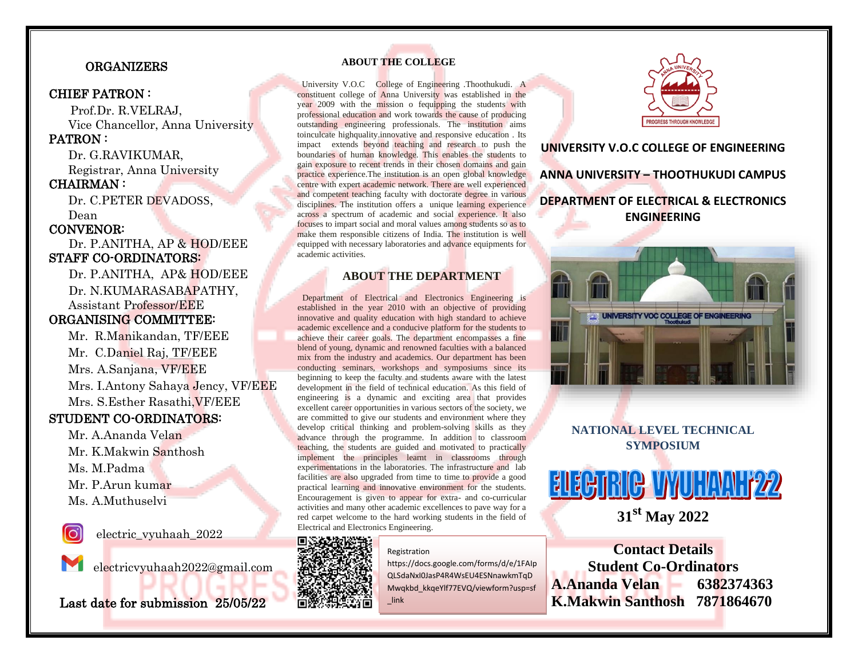### ORGANIZERS

### CHIEF PATRON :

 Prof.Dr. R.VELRAJ, Vice Chancellor, Anna University PATRON :

Dr. G.RAVIKUMAR, Registrar, Anna University

# CHAIRMAN :

Dr. C.PETER DEVADOSS, Dean

### CONVENOR:

 Dr. P.ANITHA, AP & HOD/EEE STAFF CO-ORDINATORS:

 Dr. P.ANITHA, AP& HOD/EEE Dr. N.KUMARASABAPATHY, Assistant Professor/EEE

## ORGANISING COMMITTEE:

Mr. R.Manikandan, TF/EEE Mr. C.Daniel Raj, TF/EEE Mrs. A.Sanjana, VF/EEE Mrs. I.Antony Sahaya Jency, VF/EEE Mrs. S.Esther Rasathi,VF/EEE

# STUDENT CO-ORDINATORS:

Mr. A.Ananda Velan Mr. K.Makwin Santhosh Ms. M.Padma Mr. P.Arun kumar Ms. A.Muthuselvi



electric\_vyuhaah\_2022

electricvyuhaah2022@gmail.com

Last date for submission 25/05/22

### **ABOUT THE COLLEGE**

University V.O.C College of Engineering .Thoothukudi. A constituent college of Anna University was established in the year 2009 with the mission o fequipping the students with professional education and work towards the cause of producing outstanding engineering professionals. The institution aims toinculcate highquality.innovative and responsive education . Its impact extends beyond teaching and research to push the boundaries of human knowledge. This enables the students to gain exposure to recent trends in their chosen domains and gain practice experience.The institution is an open global knowledge centre with expert academic network. There are well experienced and competent teaching faculty with doctorate degree in various disciplines. The institution offers a unique learning experience across a spectrum of academic and social experience. It also focuses to impart social and moral values among students so as to make them responsible citizens of India. The institution is well equipped with necessary laboratories and advance equipments for academic activities.

### **ABOUT THE DEPARTMENT**

Department of Electrical and Electronics Engineering is established in the year 2010 with an objective of providing innovative and quality education with high standard to achieve academic excellence and a conducive platform for the students to achieve their career goals. The department encompasses a fine blend of young, dynamic and renowned faculties with a balanced mix from the industry and academics. Our department has been conducting seminars, workshops and symposiums since its beginning to keep the faculty and students aware with the latest development in the field of technical education. As this field of engineering is a dynamic and exciting area that provides excellent career opportunities in various sectors of the society, we are committed to give our students and environment where they develop critical thinking and problem-solving skills as they advance through the programme. In addition to classroom teaching, the students are guided and motivated to practically implement the principles learnt in classrooms through experimentations in the laboratories. The infrastructure and lab facilities are also upgraded from time to time to provide a good practical learning and innovative environment for the students. Encouragement is given to appear for extra- and co-curricular activities and many other academic excellences to pave way for a red carpet welcome to the hard working students in the field of Electrical and Electronics Engineering.

### Registration



https://docs.google.com/forms/d/e/1FAIp QLSdaNxI0JasP4R4WsEU4ESNnawkmTqD Mwqkbd\_kkqeYlf77EVQ/viewform?usp=sf \_link



# **UNIVERSITY V.O.C COLLEGE OF ENGINEERING ANNA UNIVERSITY – THOOTHUKUDI CAMPUS DEPARTMENT OF ELECTRICAL & ELECTRONICS**

**ENGINEERING**



# **NATIONAL LEVEL TECHNICAL SYMPOSIUM**



**31st May 2022**

**Contact Details Student Co-Ordinators A.Ananda Velan 6382374363 K.Makwin Santhosh 7871864670**